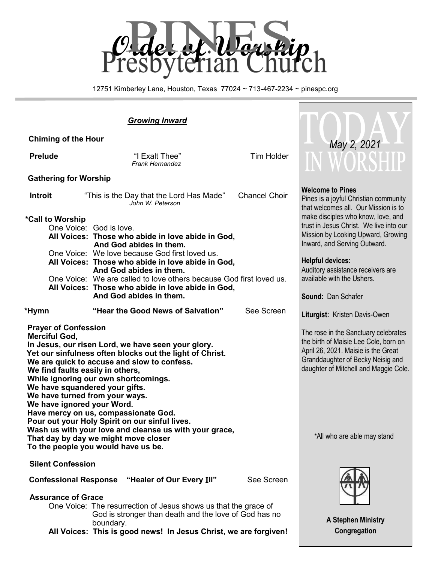

12751 Kimberley Lane, Houston, Texas 77024 ~ 713-467-2234 ~ pinespc.org

#### *Growing Inward*  **Chiming of the Hour Prelude Tim Holder Prelude Tim Holder Tim Holder**  *Frank Hernandez* **Gathering for Worship Introit** "This is the Day that the Lord Has Made" Chancel Choir *John W. Peterson*  **\*Call to Worship**  One Voice: God is love. **All Voices: Those who abide in love abide in God, And God abides in them.**  One Voice: We love because God first loved us. **All Voices: Those who abide in love abide in God, And God abides in them.** One Voice: We are called to love others because God first loved us. **All Voices: Those who abide in love abide in God, And God abides in them. \*Hymn "Hear the Good News of Salvation"** See Screen **Prayer of Confession Merciful God, In Jesus, our risen Lord, we have seen your glory. Yet our sinfulness often blocks out the light of Christ. We are quick to accuse and slow to confess. We find faults easily in others, While ignoring our own shortcomings. We have squandered your gifts. We have turned from your ways. We have ignored your Word. Have mercy on us, compassionate God. Pour out your Holy Spirit on our sinful lives. Wash us with your love and cleanse us with your grace, That day by day we might move closer To the people you would have us be. Silent Confession Confessional Response "Healer of Our Every** I**ll"** See Screen  **Assurance of Grace** One Voice: The resurrection of Jesus shows us that the grace of God is stronger than death and the love of God has no boundary. **Welcome to Pines** Pines is a joyful Christian community that welcomes all. Our Mission is to make disciples who know, love, and trust in Jesus Christ. We live into our Mission by Looking Upward, Growing Inward, and Serving Outward. **Helpful devices:** Auditory assistance receivers are available with the Ushers. **Sound:** Dan Schafer **Liturgist:** Kristen Davis-Owen The rose in the Sanctuary celebrates the birth of Maisie Lee Cole, born on April 26, 2021. Maisie is the Great Granddaughter of Becky Neisig and daughter of Mitchell and Maggie Cole. \*All who are able may stand **A Stephen Ministry**   *May 2, 2021*

**All Voices: This is good news! In Jesus Christ, we are forgiven!**

**Congregation**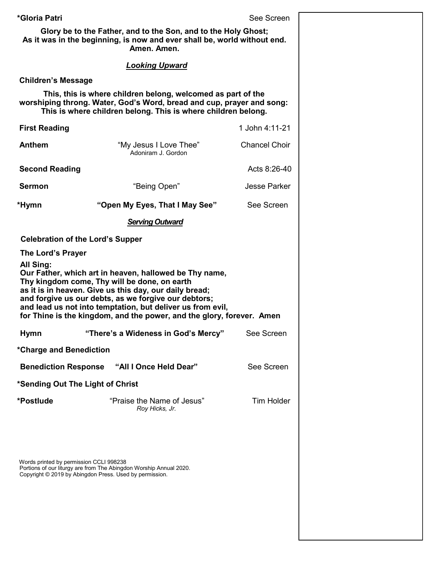**\*Gloria Patri** See Screen **Glory be to the Father, and to the Son, and to the Holy Ghost; As it was in the beginning, is now and ever shall be, world without end. Amen. Amen.** *Looking Upward* **Children's Message This, this is where children belong, welcomed as part of the worshiping throng. Water, God's Word, bread and cup, prayer and song: This is where children belong. This is where children belong. First Reading** 1 John 4:11-21 **Anthem** "My Jesus I Love Thee"Chancel Choir Adoniram J. Gordon **Second Reading Acts 8:26-40 Sermon** "Being Open" Jesse Parker **\*Hymn "Open My Eyes, That I May See"** See Screen  *Serving Outward*  **Celebration of the Lord's Supper The Lord's Prayer All Sing: Our Father, which art in heaven, hallowed be Thy name, Thy kingdom come, Thy will be done, on earth as it is in heaven. Give us this day, our daily bread; and forgive us our debts, as we forgive our debtors; and lead us not into temptation, but deliver us from evil, for Thine is the kingdom, and the power, and the glory, forever. Amen Hymn "There's a Wideness in God's Mercy"** See Screen **\*Charge and Benediction Benediction Response "All I Once Held Dear"** See Screen **\*Sending Out The Light of Christ \*Postlude** "Praise the Name of Jesus" Tim Holder *Roy Hicks, Jr.*

Words printed by permission CCLI 998238 Portions of our liturgy are from The Abingdon Worship Annual 2020. Copyright © 2019 by Abingdon Press. Used by permission.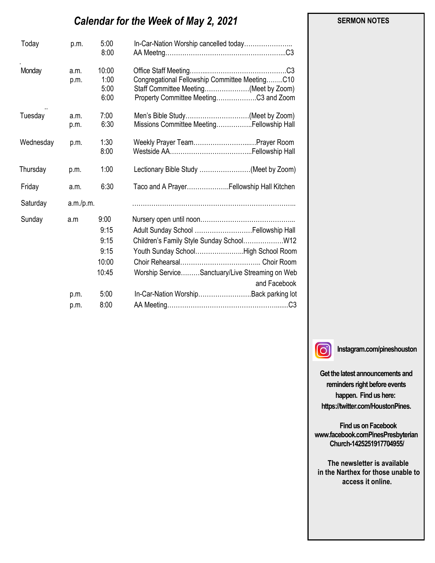# *Calendar for the Week of May 2, 2021*

| Today     | p.m.         | 5:00<br>8:00                                           | In-Car-Nation Worship cancelled today                                                                                                           |
|-----------|--------------|--------------------------------------------------------|-------------------------------------------------------------------------------------------------------------------------------------------------|
| Monday    | a.m.<br>p.m. | 10:00<br>1:00<br>5:00<br>6:00                          | .C3<br>Congregational Fellowship Committee MeetingC10<br>Staff Committee Meeting(Meet by Zoom)<br>Property Committee MeetingC3 and Zoom         |
| Tuesday   | a.m.<br>p.m. | 7:00<br>6:30                                           | Men's Bible Study(Meet by Zoom)<br>Missions Committee MeetingFellowship Hall                                                                    |
| Wednesday | p.m.         | 1:30<br>8:00                                           | Weekly Prayer TeamPrayer Room                                                                                                                   |
| Thursday  | p.m.         | 1:00                                                   | Lectionary Bible Study (Meet by Zoom)                                                                                                           |
| Friday    | a.m.         | 6:30                                                   | Taco and A PrayerFellowship Hall Kitchen                                                                                                        |
| Saturday  | a.m./p.m.    |                                                        |                                                                                                                                                 |
| Sunday    | a.m<br>p.m.  | 9:00<br>9:15<br>9:15<br>9:15<br>10:00<br>10:45<br>5:00 | Youth Sunday SchoolHigh School Room<br>Worship ServiceSanctuary/Live Streaming on Web<br>and Facebook<br>In-Car-Nation Worship Back parking lot |
|           | p.m.         | 8:00                                                   |                                                                                                                                                 |



**Instagram.com/pineshouston**

**Get the latest announcements and reminders right before events happen. Find us here: https://twitter.com/HoustonPines.** 

 **Find us on Facebook www.facebook.comPinesPresbyterian Church-1425251917704955/**

 **The newsletter is available in the Narthex for those unable to access it online.**

#### **SERMON NOTES**